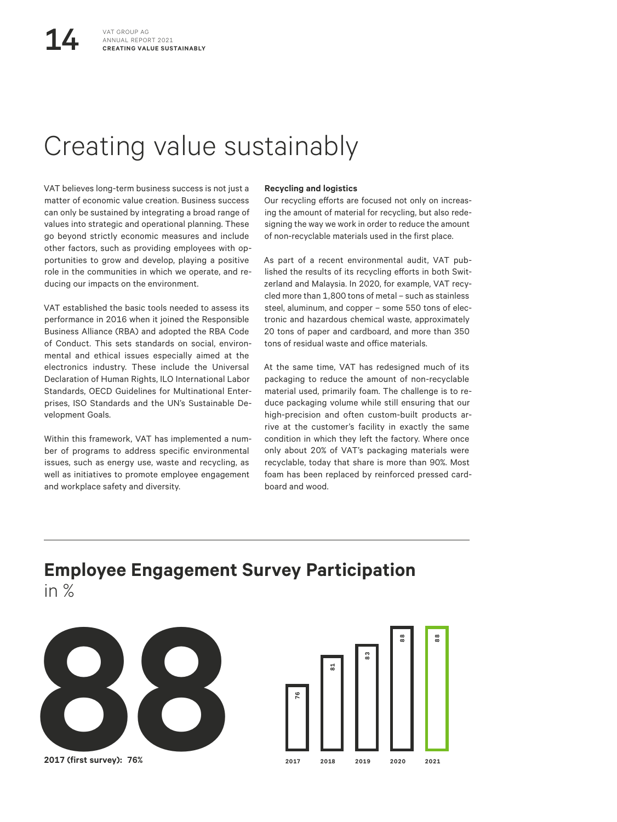# Creating value sustainably

VAT believes long-term business success is not just a matter of economic value creation. Business success can only be sustained by integrating a broad range of values into strategic and operational planning. These go beyond strictly economic measures and include other factors, such as providing employees with opportunities to grow and develop, playing a positive role in the communities in which we operate, and reducing our impacts on the environment.

VAT established the basic tools needed to assess its performance in 2016 when it joined the Responsible Business Alliance (RBA) and adopted the RBA Code of Conduct. This sets standards on social, environmental and ethical issues especially aimed at the electronics industry. These include the Universal Declaration of Human Rights, ILO International Labor Standards, OECD Guidelines for Multinational Enterprises, ISO Standards and the UN's Sustainable Development Goals.

Within this framework, VAT has implemented a number of programs to address specific environmental issues, such as energy use, waste and recycling, as well as initiatives to promote employee engagement and workplace safety and diversity.

### **Recycling and logistics**

Our recycling efforts are focused not only on increasing the amount of material for recycling, but also redesigning the way we work in order to reduce the amount of non-recyclable materials used in the first place.

As part of a recent environmental audit, VAT published the results of its recycling efforts in both Switzerland and Malaysia. In 2020, for example, VAT recycled more than 1,800 tons of metal – such as stainless steel, aluminum, and copper – some 550 tons of electronic and hazardous chemical waste, approximately 20 tons of paper and cardboard, and more than 350 tons of residual waste and office materials.

At the same time, VAT has redesigned much of its packaging to reduce the amount of non-recyclable material used, primarily foam. The challenge is to reduce packaging volume while still ensuring that our high-precision and often custom-built products arrive at the customer's facility in exactly the same condition in which they left the factory. Where once only about 20% of VAT's packaging materials were recyclable, today that share is more than 90%. Most foam has been replaced by reinforced pressed cardboard and wood.

## **Employee Engagement Survey Participation** in %



**2017 (first survey): 76%**

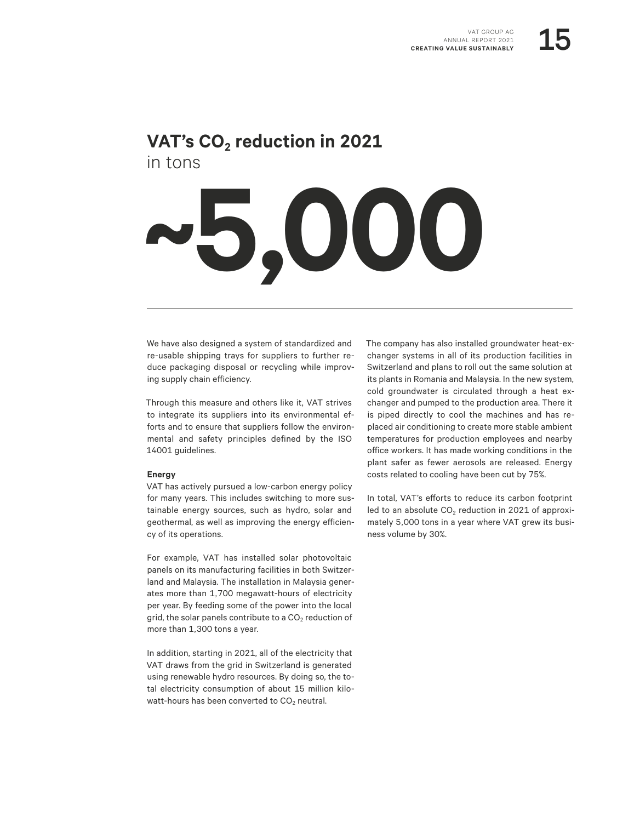### VAT's CO<sub>2</sub> reduction in 2021 in tons

# **~5,000**

We have also designed a system of standardized and re-usable shipping trays for suppliers to further reduce packaging disposal or recycling while improving supply chain efficiency.

Through this measure and others like it, VAT strives to integrate its suppliers into its environmental efforts and to ensure that suppliers follow the environmental and safety principles defined by the ISO 14001 guidelines.

### **Energy**

VAT has actively pursued a low-carbon energy policy for many years. This includes switching to more sustainable energy sources, such as hydro, solar and geothermal, as well as improving the energy efficiency of its operations.

For example, VAT has installed solar photovoltaic panels on its manufacturing facilities in both Switzerland and Malaysia. The installation in Malaysia generates more than 1,700 megawatt-hours of electricity per year. By feeding some of the power into the local grid, the solar panels contribute to a  $CO<sub>2</sub>$  reduction of more than 1,300 tons a year.

In addition, starting in 2021, all of the electricity that VAT draws from the grid in Switzerland is generated using renewable hydro resources. By doing so, the total electricity consumption of about 15 million kilowatt-hours has been converted to  $CO<sub>2</sub>$  neutral.

The company has also installed groundwater heat-exchanger systems in all of its production facilities in Switzerland and plans to roll out the same solution at its plants in Romania and Malaysia. In the new system, cold groundwater is circulated through a heat exchanger and pumped to the production area. There it is piped directly to cool the machines and has replaced air conditioning to create more stable ambient temperatures for production employees and nearby office workers. It has made working conditions in the plant safer as fewer aerosols are released. Energy costs related to cooling have been cut by 75%.

In total, VAT's efforts to reduce its carbon footprint led to an absolute  $CO<sub>2</sub>$  reduction in 2021 of approximately 5,000 tons in a year where VAT grew its business volume by 30%.